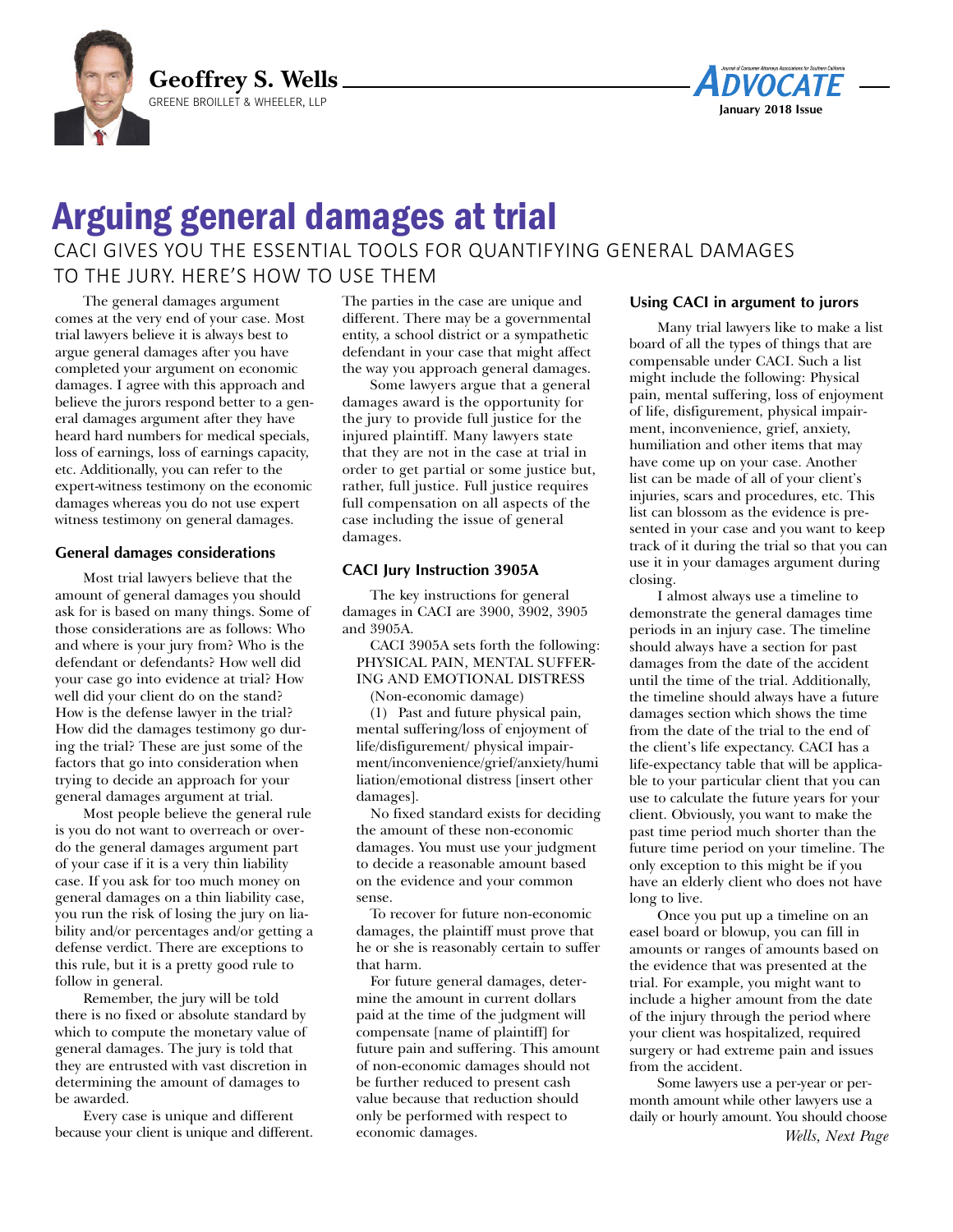



# Arguing general damages at trial

## CACI GIVES YOU THE ESSENTIAL TOOLS FOR QUANTIFYING GENERAL DAMAGES TO THE JURY. HERE'S HOW TO USE THEM

The general damages argument comes at the very end of your case. Most trial lawyers believe it is always best to argue general damages after you have completed your argument on economic damages. I agree with this approach and believe the jurors respond better to a general damages argument after they have heard hard numbers for medical specials, loss of earnings, loss of earnings capacity, etc. Additionally, you can refer to the expert-witness testimony on the economic damages whereas you do not use expert witness testimony on general damages.

#### **General damages considerations**

Most trial lawyers believe that the amount of general damages you should ask for is based on many things. Some of those considerations are as follows: Who and where is your jury from? Who is the defendant or defendants? How well did your case go into evidence at trial? How well did your client do on the stand? How is the defense lawyer in the trial? How did the damages testimony go during the trial? These are just some of the factors that go into consideration when trying to decide an approach for your general damages argument at trial.

Most people believe the general rule is you do not want to overreach or overdo the general damages argument part of your case if it is a very thin liability case. If you ask for too much money on general damages on a thin liability case, you run the risk of losing the jury on liability and/or percentages and/or getting a defense verdict. There are exceptions to this rule, but it is a pretty good rule to follow in general.

Remember, the jury will be told there is no fixed or absolute standard by which to compute the monetary value of general damages. The jury is told that they are entrusted with vast discretion in determining the amount of damages to be awarded.

Every case is unique and different because your client is unique and different. The parties in the case are unique and different. There may be a governmental entity, a school district or a sympathetic defendant in your case that might affect the way you approach general damages.

Some lawyers argue that a general damages award is the opportunity for the jury to provide full justice for the injured plaintiff. Many lawyers state that they are not in the case at trial in order to get partial or some justice but, rather, full justice. Full justice requires full compensation on all aspects of the case including the issue of general damages.

#### **CACI Jury Instruction 3905A**

The key instructions for general damages in CACI are 3900, 3902, 3905 and 3905A.

CACI 3905A sets forth the following: PHYSICAL PAIN, MENTAL SUFFER-ING AND EMOTIONAL DISTRESS

(Non-economic damage)

(1) Past and future physical pain, mental suffering/loss of enjoyment of life/disfigurement/ physical impairment/inconvenience/grief/anxiety/humi liation/emotional distress [insert other damages].

No fixed standard exists for deciding the amount of these non-economic damages. You must use your judgment to decide a reasonable amount based on the evidence and your common sense.

To recover for future non-economic damages, the plaintiff must prove that he or she is reasonably certain to suffer that harm.

For future general damages, determine the amount in current dollars paid at the time of the judgment will compensate [name of plaintiff] for future pain and suffering. This amount of non-economic damages should not be further reduced to present cash value because that reduction should only be performed with respect to economic damages.

#### **Using CACI in argument to jurors**

Many trial lawyers like to make a list board of all the types of things that are compensable under CACI. Such a list might include the following: Physical pain, mental suffering, loss of enjoyment of life, disfigurement, physical impairment, inconvenience, grief, anxiety, humiliation and other items that may have come up on your case. Another list can be made of all of your client's injuries, scars and procedures, etc. This list can blossom as the evidence is presented in your case and you want to keep track of it during the trial so that you can use it in your damages argument during closing.

I almost always use a timeline to demonstrate the general damages time periods in an injury case. The timeline should always have a section for past damages from the date of the accident until the time of the trial. Additionally, the timeline should always have a future damages section which shows the time from the date of the trial to the end of the client's life expectancy. CACI has a life-expectancy table that will be applicable to your particular client that you can use to calculate the future years for your client. Obviously, you want to make the past time period much shorter than the future time period on your timeline. The only exception to this might be if you have an elderly client who does not have long to live.

Once you put up a timeline on an easel board or blowup, you can fill in amounts or ranges of amounts based on the evidence that was presented at the trial. For example, you might want to include a higher amount from the date of the injury through the period where your client was hospitalized, required surgery or had extreme pain and issues from the accident.

Some lawyers use a per-year or permonth amount while other lawyers use a daily or hourly amount. You should choose *Wells, Next Page*